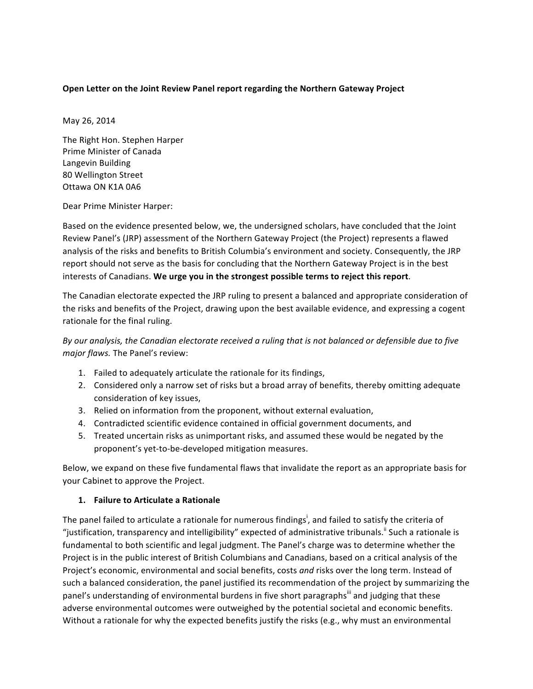### **Open Letter on the Joint Review Panel report regarding the Northern Gateway Project**

May 26, 2014

The Right Hon. Stephen Harper Prime Minister of Canada Langevin Building 80 Wellington Street Ottawa!ON!K1A!0A6

Dear Prime Minister Harper:

Based on the evidence presented below, we, the undersigned scholars, have concluded that the Joint Review Panel's (JRP) assessment of the Northern Gateway Project (the Project) represents a flawed analysis of the risks and benefits to British Columbia's environment and society. Consequently, the JRP report should not serve as the basis for concluding that the Northern Gateway Project is in the best interests of Canadians. We urge you in the strongest possible terms to reject this report.

The Canadian electorate expected the JRP ruling to present a balanced and appropriate consideration of the risks and benefits of the Project, drawing upon the best available evidence, and expressing a cogent rationale for the final ruling.

*By our analysis, the Canadian electorate received a ruling that is not balanced or defensible due to five major flaws.* The Panel's review:

- 1. Failed to adequately articulate the rationale for its findings,
- 2. Considered only a narrow set of risks but a broad array of benefits, thereby omitting adequate consideration of key issues,
- 3. Relied on information from the proponent, without external evaluation,
- 4. Contradicted scientific evidence contained in official government documents, and
- 5. Treated uncertain risks as unimportant risks, and assumed these would be negated by the proponent's yet-to-be-developed mitigation measures.

Below, we expand on these five fundamental flaws that invalidate the report as an appropriate basis for your Cabinet to approve the Project.

#### **1. Failure to Articulate a Rationale**

The panel failed to articulate a rationale for numerous findings<sup>i</sup>, and failed to satisfy the criteria of "justification, transparency and intelligibility" expected of administrative tribunals.<sup>ii</sup> Such a rationale is fundamental to both scientific and legal judgment. The Panel's charge was to determine whether the Project is in the public interest of British Columbians and Canadians, based on a critical analysis of the Project's economic, environmental and social benefits, costs *and* risks over the long term. Instead of such a balanced consideration, the panel justified its recommendation of the project by summarizing the panel's understanding of environmental burdens in five short paragraphs<sup>iii</sup> and judging that these adverse environmental outcomes were outweighed by the potential societal and economic benefits. Without a rationale for why the expected benefits justify the risks (e.g., why must an environmental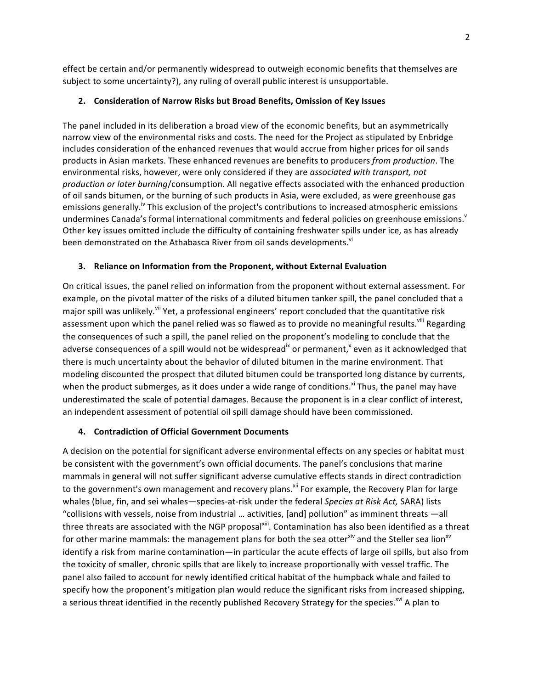effect be certain and/or permanently widespread to outweigh economic benefits that themselves are subject to some uncertainty?), any ruling of overall public interest is unsupportable.

## **2. Consideration of Narrow Risks but Broad Benefits, Omission of Key Issues**

The panel included in its deliberation a broad view of the economic benefits, but an asymmetrically narrow view of the environmental risks and costs. The need for the Project as stipulated by Enbridge includes consideration of the enhanced revenues that would accrue from higher prices for oil sands products in Asian markets. These enhanced revenues are benefits to producers *from production*. The environmental risks, however, were only considered if they are *associated with transport, not production or later burning/consumption. All negative effects associated with the enhanced production* of oil sands bitumen, or the burning of such products in Asia, were excluded, as were greenhouse gas emissions generally.<sup>iv</sup> This exclusion of the project's contributions to increased atmospheric emissions undermines Canada's formal international commitments and federal policies on greenhouse emissions.<sup>v</sup> Other key issues omitted include the difficulty of containing freshwater spills under ice, as has already been demonstrated on the Athabasca River from oil sands developments.<sup>vi</sup>

### **3.** Reliance on Information from the Proponent, without External Evaluation

On critical issues, the panel relied on information from the proponent without external assessment. For example, on the pivotal matter of the risks of a diluted bitumen tanker spill, the panel concluded that a major spill was unlikely.<sup>vii</sup> Yet, a professional engineers' report concluded that the quantitative risk assessment upon which the panel relied was so flawed as to provide no meaningful results.<sup>viii</sup> Regarding the consequences of such a spill, the panel relied on the proponent's modeling to conclude that the adverse consequences of a spill would not be widespread<sup>ix</sup> or permanent,<sup>x</sup> even as it acknowledged that there is much uncertainty about the behavior of diluted bitumen in the marine environment. That modeling discounted the prospect that diluted bitumen could be transported long distance by currents, when the product submerges, as it does under a wide range of conditions.<sup>xi</sup> Thus, the panel may have underestimated the scale of potential damages. Because the proponent is in a clear conflict of interest, an independent assessment of potential oil spill damage should have been commissioned.

# **4. Contradiction of Official Government Documents**

A decision on the potential for significant adverse environmental effects on any species or habitat must be consistent with the government's own official documents. The panel's conclusions that marine mammals in general will not suffer significant adverse cumulative effects stands in direct contradiction to the government's own management and recovery plans.<sup>xii</sup> For example, the Recovery Plan for large whales (blue, fin, and sei whales—species-at-risk under the federal *Species at Risk Act, SARA*) lists "collisions with vessels, noise from industrial ... activities, [and] pollution" as imminent threats —all three threats are associated with the NGP proposal<sup>xiii</sup>. Contamination has also been identified as a threat for other marine mammals: the management plans for both the sea otterxiv and the Steller sea lion<sup>xv</sup> identify a risk from marine contamination—in particular the acute effects of large oil spills, but also from the toxicity of smaller, chronic spills that are likely to increase proportionally with vessel traffic. The panel also failed to account for newly identified critical habitat of the humpback whale and failed to specify how the proponent's mitigation plan would reduce the significant risks from increased shipping, a serious threat identified in the recently published Recovery Strategy for the species.<sup>xvi</sup> A plan to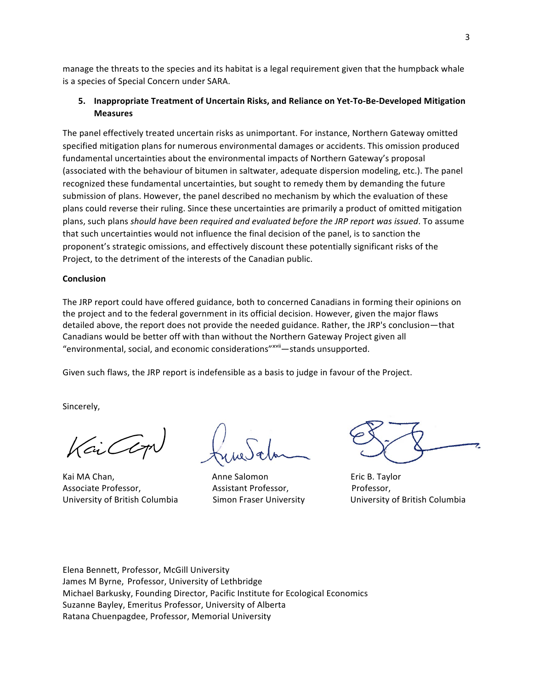manage the threats to the species and its habitat is a legal requirement given that the humpback whale is a species of Special Concern under SARA.

# 5. Inappropriate Treatment of Uncertain Risks, and Reliance on Yet-To-Be-Developed Mitigation **Measures**

The panel effectively treated uncertain risks as unimportant. For instance, Northern Gateway omitted specified mitigation plans for numerous environmental damages or accidents. This omission produced fundamental uncertainties about the environmental impacts of Northern Gateway's proposal (associated with the behaviour of bitumen in saltwater, adequate dispersion modeling, etc.). The panel recognized these fundamental uncertainties, but sought to remedy them by demanding the future submission of plans. However, the panel described no mechanism by which the evaluation of these plans could reverse their ruling. Since these uncertainties are primarily a product of omitted mitigation plans, such plans *should have been required and evaluated before the JRP report was issued*. To assume that such uncertainties would not influence the final decision of the panel, is to sanction the proponent's strategic omissions, and effectively discount these potentially significant risks of the Project, to the detriment of the interests of the Canadian public.

#### **Conclusion**

The JRP report could have offered guidance, both to concerned Canadians in forming their opinions on the project and to the federal government in its official decision. However, given the major flaws detailed above, the report does not provide the needed guidance. Rather, the JRP's conclusion—that Canadians would be better off with than without the Northern Gateway Project given all "environmental, social, and economic considerations"<sup>xvii</sup>—stands unsupported.

Given such flaws, the JRP report is indefensible as a basis to judge in favour of the Project.

Sincerely,

Cil

Kai MA Chan, "The Salomon" (Chang Salomon "The Salomon" Eric B. Taylor Associate Professor, **8. Internal 2. In the Assistant Professor**, Professor, University of British Columbia 8. Ismon Fraser University 8. Iniversity of British Columbia

Elena Bennett, Professor, McGill University James M Byrne, Professor, University of Lethbridge Michael Barkusky, Founding Director, Pacific Institute for Ecological Economics Suzanne Bayley, Emeritus Professor, University of Alberta Ratana Chuenpagdee, Professor, Memorial University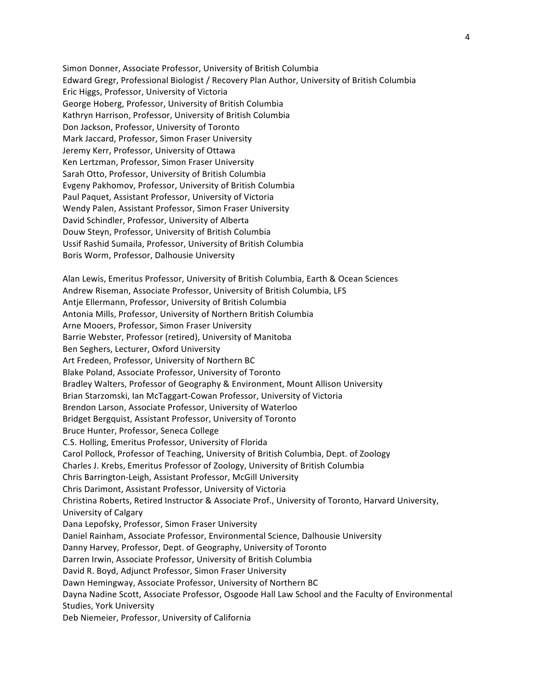Simon Donner, Associate Professor, University of British Columbia Edward Gregr, Professional Biologist / Recovery Plan Author, University of British Columbia Eric Higgs, Professor, University of Victoria George Hoberg, Professor, University of British Columbia Kathryn Harrison, Professor, University of British Columbia Don Jackson, Professor, University of Toronto Mark Jaccard, Professor, Simon Fraser University Jeremy Kerr, Professor, University of Ottawa Ken Lertzman, Professor, Simon Fraser University Sarah Otto, Professor, University of British Columbia Evgeny Pakhomov, Professor, University of British Columbia Paul Paquet, Assistant Professor, University of Victoria Wendy Palen, Assistant Professor, Simon Fraser University David Schindler, Professor, University of Alberta Douw Steyn, Professor, University of British Columbia Ussif Rashid Sumaila, Professor, University of British Columbia Boris Worm, Professor, Dalhousie University

Alan Lewis, Emeritus Professor, University of British Columbia, Earth & Ocean Sciences Andrew Riseman, Associate Professor, University of British Columbia, LFS Antje Ellermann, Professor, University of British Columbia Antonia Mills, Professor, University of Northern British Columbia Arne Mooers, Professor, Simon Fraser University Barrie Webster, Professor (retired), University of Manitoba Ben Seghers, Lecturer, Oxford University Art Fredeen, Professor, University of Northern BC Blake Poland, Associate Professor, University of Toronto Bradley Walters, Professor of Geography & Environment, Mount Allison University Brian Starzomski, Ian McTaggart-Cowan Professor, University of Victoria Brendon Larson, Associate Professor, University of Waterloo Bridget Bergquist, Assistant Professor, University of Toronto Bruce Hunter, Professor, Seneca College C.S. Holling, Emeritus Professor, University of Florida Carol Pollock, Professor of Teaching, University of British Columbia, Dept. of Zoology Charles J. Krebs, Emeritus Professor of Zoology, University of British Columbia Chris Barrington-Leigh, Assistant Professor, McGill University Chris Darimont, Assistant Professor, University of Victoria Christina Roberts, Retired Instructor & Associate Prof., University of Toronto, Harvard University, University!of!Calgary Dana Lepofsky, Professor, Simon Fraser University Daniel Rainham, Associate Professor, Environmental Science, Dalhousie University Danny Harvey, Professor, Dept. of Geography, University of Toronto Darren Irwin, Associate Professor, University of British Columbia David R. Boyd, Adjunct Professor, Simon Fraser University Dawn Hemingway, Associate Professor, University of Northern BC Dayna Nadine Scott, Associate Professor, Osgoode Hall Law School and the Faculty of Environmental Studies, York University Deb Niemeier, Professor, University of California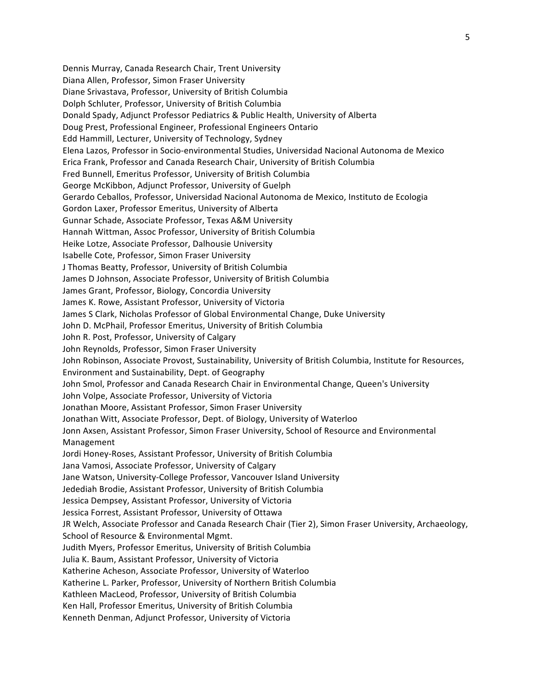Dennis Murray, Canada Research Chair, Trent University Diana Allen, Professor, Simon Fraser University Diane Srivastava, Professor, University of British Columbia Dolph Schluter, Professor, University of British Columbia Donald Spady, Adjunct Professor Pediatrics & Public Health, University of Alberta Doug Prest, Professional Engineer, Professional Engineers Ontario Edd Hammill, Lecturer, University of Technology, Sydney Elena Lazos, Professor in Socio-environmental Studies, Universidad Nacional Autonoma de Mexico Erica Frank, Professor and Canada Research Chair, University of British Columbia Fred Bunnell, Emeritus Professor, University of British Columbia George McKibbon, Adjunct Professor, University of Guelph Gerardo Ceballos, Professor, Universidad Nacional Autonoma de Mexico, Instituto de Ecologia Gordon Laxer, Professor Emeritus, University of Alberta Gunnar Schade, Associate Professor, Texas A&M University Hannah Wittman, Assoc Professor, University of British Columbia Heike Lotze, Associate Professor, Dalhousie University Isabelle Cote, Professor, Simon Fraser University J Thomas Beatty, Professor, University of British Columbia James D Johnson, Associate Professor, University of British Columbia James Grant, Professor, Biology, Concordia University James K. Rowe, Assistant Professor, University of Victoria James S Clark, Nicholas Professor of Global Environmental Change, Duke University John D. McPhail, Professor Emeritus, University of British Columbia John R. Post, Professor, University of Calgary John Reynolds, Professor, Simon Fraser University John Robinson, Associate Provost, Sustainability, University of British Columbia, Institute for Resources, Environment and Sustainability, Dept. of Geography John Smol, Professor and Canada Research Chair in Environmental Change, Queen's University John Volpe, Associate Professor, University of Victoria Jonathan Moore, Assistant Professor, Simon Fraser University Jonathan Witt, Associate Professor, Dept. of Biology, University of Waterloo Jonn Axsen, Assistant Professor, Simon Fraser University, School of Resource and Environmental Management Jordi Honey-Roses, Assistant Professor, University of British Columbia Jana Vamosi, Associate Professor, University of Calgary Jane Watson, University-College Professor, Vancouver Island University Jedediah Brodie, Assistant Professor, University of British Columbia Jessica Dempsey, Assistant Professor, University of Victoria Jessica Forrest, Assistant Professor, University of Ottawa JR Welch, Associate Professor and Canada Research Chair (Tier 2), Simon Fraser University, Archaeology, School of Resource & Environmental Mgmt. Judith Myers, Professor Emeritus, University of British Columbia Julia K. Baum, Assistant Professor, University of Victoria Katherine Acheson, Associate Professor, University of Waterloo Katherine L. Parker, Professor, University of Northern British Columbia Kathleen MacLeod, Professor, University of British Columbia Ken Hall, Professor Emeritus, University of British Columbia Kenneth Denman, Adjunct Professor, University of Victoria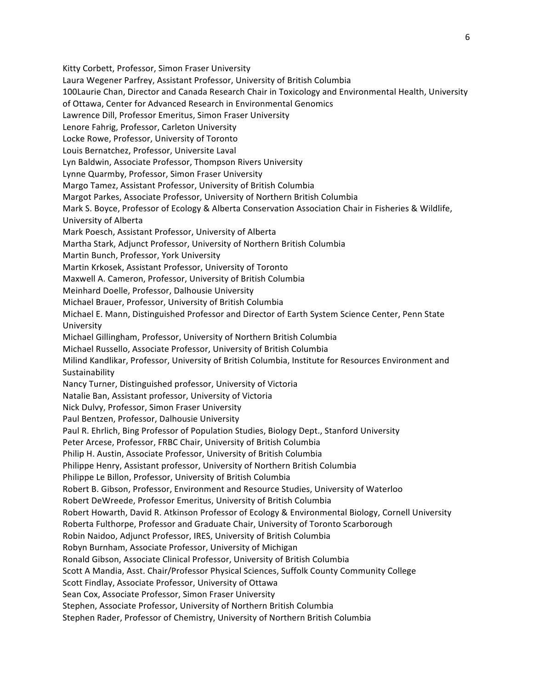Kitty Corbett, Professor, Simon Fraser University Laura Wegener Parfrey, Assistant Professor, University of British Columbia 100Laurie Chan, Director and Canada Research Chair in Toxicology and Environmental Health, University of Ottawa, Center for Advanced Research in Environmental Genomics Lawrence Dill, Professor Emeritus, Simon Fraser University Lenore Fahrig, Professor, Carleton University Locke Rowe, Professor, University of Toronto Louis Bernatchez, Professor, Universite Laval Lyn Baldwin, Associate Professor, Thompson Rivers University Lynne Quarmby, Professor, Simon Fraser University Margo Tamez, Assistant Professor, University of British Columbia Margot Parkes, Associate Professor, University of Northern British Columbia Mark S. Boyce, Professor of Ecology & Alberta Conservation Association Chair in Fisheries & Wildlife, University!of!Alberta Mark Poesch, Assistant Professor, University of Alberta Martha Stark, Adjunct Professor, University of Northern British Columbia Martin Bunch, Professor, York University Martin Krkosek, Assistant Professor, University of Toronto Maxwell A. Cameron, Professor, University of British Columbia Meinhard Doelle, Professor, Dalhousie University Michael Brauer, Professor, University of British Columbia Michael E. Mann, Distinguished Professor and Director of Earth System Science Center, Penn State University Michael Gillingham, Professor, University of Northern British Columbia Michael Russello, Associate Professor, University of British Columbia Milind Kandlikar, Professor, University of British Columbia, Institute for Resources Environment and Sustainability Nancy Turner, Distinguished professor, University of Victoria Natalie Ban, Assistant professor, University of Victoria Nick Dulvy, Professor, Simon Fraser University Paul Bentzen, Professor, Dalhousie University Paul R. Ehrlich, Bing Professor of Population Studies, Biology Dept., Stanford University Peter Arcese, Professor, FRBC Chair, University of British Columbia Philip H. Austin, Associate Professor, University of British Columbia Philippe Henry, Assistant professor, University of Northern British Columbia Philippe Le Billon, Professor, University of British Columbia Robert B. Gibson, Professor, Environment and Resource Studies, University of Waterloo Robert DeWreede, Professor Emeritus, University of British Columbia Robert Howarth, David R. Atkinson Professor of Ecology & Environmental Biology, Cornell University Roberta Fulthorpe, Professor and Graduate Chair, University of Toronto Scarborough Robin Naidoo, Adjunct Professor, IRES, University of British Columbia Robyn Burnham, Associate Professor, University of Michigan Ronald Gibson, Associate Clinical Professor, University of British Columbia Scott A Mandia, Asst. Chair/Professor Physical Sciences, Suffolk County Community College Scott Findlay, Associate Professor, University of Ottawa Sean Cox, Associate Professor, Simon Fraser University Stephen, Associate Professor, University of Northern British Columbia Stephen Rader, Professor of Chemistry, University of Northern British Columbia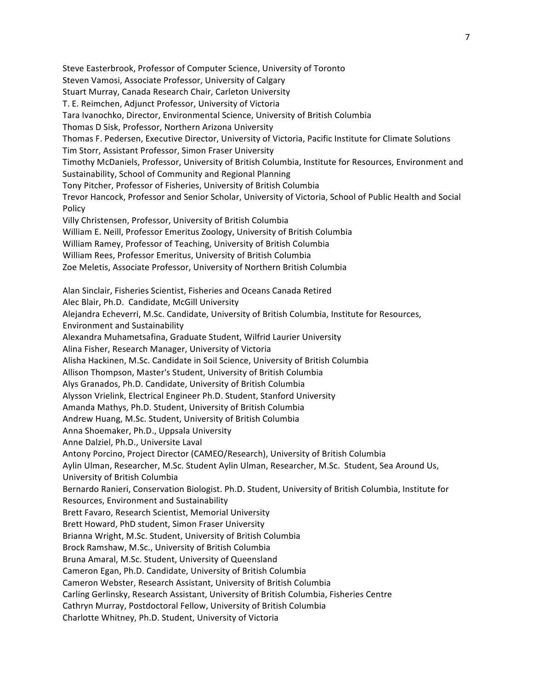Steve Easterbrook, Professor of Computer Science, University of Toronto Steven Vamosi, Associate Professor, University of Calgary Stuart Murray, Canada Research Chair, Carleton University T. E. Reimchen, Adjunct Professor, University of Victoria Tara Ivanochko, Director, Environmental Science, University of British Columbia Thomas D Sisk, Professor, Northern Arizona University Thomas F. Pedersen, Executive Director, University of Victoria, Pacific Institute for Climate Solutions Tim Storr, Assistant Professor, Simon Fraser University Timothy McDaniels, Professor, University of British Columbia, Institute for Resources, Environment and Sustainability, School of Community and Regional Planning Tony Pitcher, Professor of Fisheries, University of British Columbia Trevor Hancock, Professor and Senior Scholar, University of Victoria, School of Public Health and Social Policy Villy Christensen, Professor, University of British Columbia William E. Neill, Professor Emeritus Zoology, University of British Columbia William Ramey, Professor of Teaching, University of British Columbia William Rees, Professor Emeritus, University of British Columbia Zoe Meletis, Associate Professor, University of Northern British Columbia Alan Sinclair, Fisheries Scientist, Fisheries and Oceans Canada Retired Alec Blair, Ph.D. Candidate, McGill University Alejandra Echeverri, M.Sc. Candidate, University of British Columbia, Institute for Resources, Environment and Sustainability Alexandra Muhametsafina, Graduate Student, Wilfrid Laurier University Alina Fisher, Research Manager, University of Victoria Alisha Hackinen, M.Sc. Candidate in Soil Science, University of British Columbia Allison Thompson, Master's Student, University of British Columbia Alys Granados, Ph.D. Candidate, University of British Columbia Alysson Vrielink, Electrical Engineer Ph.D. Student, Stanford University Amanda Mathys, Ph.D. Student, University of British Columbia Andrew Huang, M.Sc. Student, University of British Columbia Anna Shoemaker, Ph.D., Uppsala University Anne Dalziel, Ph.D., Universite Laval Antony Porcino, Project Director (CAMEO/Research), University of British Columbia Aylin Ulman, Researcher, M.Sc. Student Aylin Ulman, Researcher, M.Sc. Student, Sea Around Us, University of British Columbia Bernardo Ranieri, Conservation Biologist. Ph.D. Student, University of British Columbia, Institute for Resources, Environment and Sustainability Brett Favaro, Research Scientist, Memorial University Brett Howard, PhD student, Simon Fraser University Brianna Wright, M.Sc. Student, University of British Columbia Brock Ramshaw, M.Sc., University of British Columbia Bruna Amaral, M.Sc. Student, University of Queensland Cameron Egan, Ph.D. Candidate, University of British Columbia Cameron Webster, Research Assistant, University of British Columbia Carling Gerlinsky, Research Assistant, University of British Columbia, Fisheries Centre Cathryn Murray, Postdoctoral Fellow, University of British Columbia Charlotte Whitney, Ph.D. Student, University of Victoria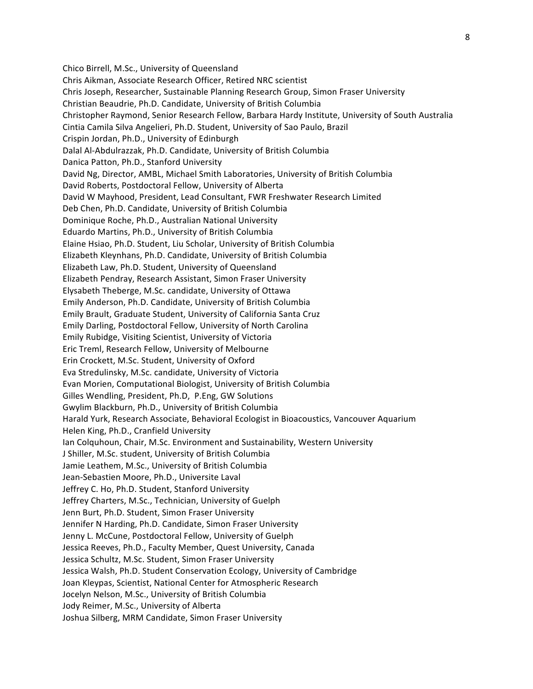Chico Birrell, M.Sc., University of Queensland Chris Aikman, Associate Research Officer, Retired NRC scientist Chris Joseph, Researcher, Sustainable Planning Research Group, Simon Fraser University Christian Beaudrie, Ph.D. Candidate, University of British Columbia Christopher Raymond, Senior Research Fellow, Barbara Hardy Institute, University of South Australia Cintia Camila Silva Angelieri, Ph.D. Student, University of Sao Paulo, Brazil Crispin Jordan, Ph.D., University of Edinburgh Dalal Al-Abdulrazzak, Ph.D. Candidate, University of British Columbia Danica Patton, Ph.D., Stanford University David Ng, Director, AMBL, Michael Smith Laboratories, University of British Columbia David Roberts, Postdoctoral Fellow, University of Alberta David W Mayhood, President, Lead Consultant, FWR Freshwater Research Limited Deb Chen, Ph.D. Candidate, University of British Columbia Dominique Roche, Ph.D., Australian National University Eduardo Martins, Ph.D., University of British Columbia Elaine Hsiao, Ph.D. Student, Liu Scholar, University of British Columbia Elizabeth Kleynhans, Ph.D. Candidate, University of British Columbia Elizabeth Law, Ph.D. Student, University of Queensland Elizabeth Pendray, Research Assistant, Simon Fraser University Elysabeth Theberge, M.Sc. candidate, University of Ottawa Emily Anderson, Ph.D. Candidate, University of British Columbia Emily Brault, Graduate Student, University of California Santa Cruz Emily Darling, Postdoctoral Fellow, University of North Carolina Emily Rubidge, Visiting Scientist, University of Victoria Eric Treml, Research Fellow, University of Melbourne Erin Crockett, M.Sc. Student, University of Oxford Eva Stredulinsky, M.Sc. candidate, University of Victoria Evan Morien, Computational Biologist, University of British Columbia Gilles Wendling, President, Ph.D, P.Eng, GW Solutions Gwylim Blackburn, Ph.D., University of British Columbia Harald Yurk, Research Associate, Behavioral Ecologist in Bioacoustics, Vancouver Aquarium Helen King, Ph.D., Cranfield University Ian Colquhoun, Chair, M.Sc. Environment and Sustainability, Western University J Shiller, M.Sc. student, University of British Columbia Jamie Leathem, M.Sc., University of British Columbia Jean-Sebastien Moore, Ph.D., Universite Laval Jeffrey C. Ho, Ph.D. Student, Stanford University Jeffrey Charters, M.Sc., Technician, University of Guelph Jenn Burt, Ph.D. Student, Simon Fraser University Jennifer N Harding, Ph.D. Candidate, Simon Fraser University Jenny L. McCune, Postdoctoral Fellow, University of Guelph Jessica Reeves, Ph.D., Faculty Member, Quest University, Canada Jessica Schultz, M.Sc. Student, Simon Fraser University Jessica Walsh, Ph.D. Student Conservation Ecology, University of Cambridge Joan Kleypas, Scientist, National Center for Atmospheric Research Jocelyn Nelson, M.Sc., University of British Columbia Jody Reimer, M.Sc., University of Alberta Joshua Silberg, MRM Candidate, Simon Fraser University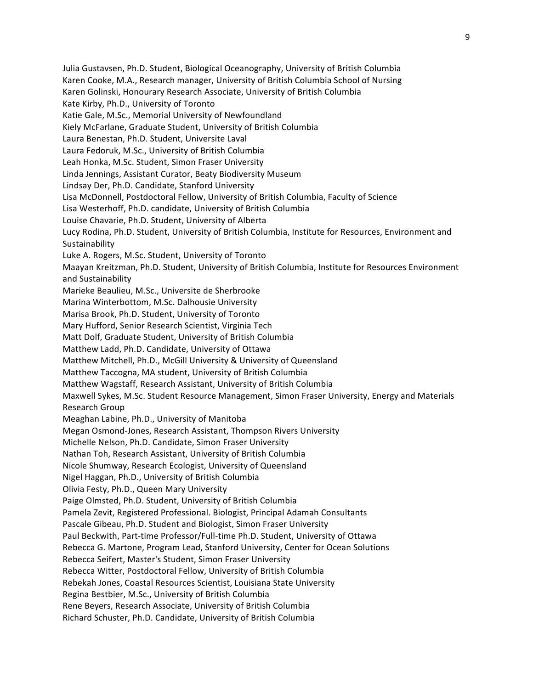Julia Gustavsen, Ph.D. Student, Biological Oceanography, University of British Columbia Karen Cooke, M.A., Research manager, University of British Columbia School of Nursing Karen Golinski, Honourary Research Associate, University of British Columbia Kate Kirby, Ph.D., University of Toronto Katie Gale, M.Sc., Memorial University of Newfoundland Kiely McFarlane, Graduate Student, University of British Columbia Laura Benestan, Ph.D. Student, Universite Laval Laura Fedoruk, M.Sc., University of British Columbia Leah Honka, M.Sc. Student, Simon Fraser University Linda Jennings, Assistant Curator, Beaty Biodiversity Museum Lindsay Der, Ph.D. Candidate, Stanford University Lisa McDonnell, Postdoctoral Fellow, University of British Columbia, Faculty of Science Lisa Westerhoff, Ph.D. candidate, University of British Columbia Louise Chavarie, Ph.D. Student, University of Alberta Lucy Rodina, Ph.D. Student, University of British Columbia, Institute for Resources, Environment and Sustainability Luke A. Rogers, M.Sc. Student, University of Toronto Maayan Kreitzman, Ph.D. Student, University of British Columbia, Institute for Resources Environment and Sustainability Marieke Beaulieu, M.Sc., Universite de Sherbrooke Marina Winterbottom, M.Sc. Dalhousie University Marisa Brook, Ph.D. Student, University of Toronto Mary Hufford, Senior Research Scientist, Virginia Tech Matt Dolf, Graduate Student, University of British Columbia Matthew Ladd, Ph.D. Candidate, University of Ottawa Matthew Mitchell, Ph.D., McGill University & University of Queensland Matthew Taccogna, MA student, University of British Columbia Matthew Wagstaff, Research Assistant, University of British Columbia Maxwell Sykes, M.Sc. Student Resource Management, Simon Fraser University, Energy and Materials Research!Group!! Meaghan Labine, Ph.D., University of Manitoba Megan Osmond-Jones, Research Assistant, Thompson Rivers University Michelle Nelson, Ph.D. Candidate, Simon Fraser University Nathan Toh, Research Assistant, University of British Columbia Nicole Shumway, Research Ecologist, University of Queensland Nigel Haggan, Ph.D., University of British Columbia Olivia Festy, Ph.D., Queen Mary University Paige Olmsted, Ph.D. Student, University of British Columbia Pamela Zevit, Registered Professional. Biologist, Principal Adamah Consultants Pascale Gibeau, Ph.D. Student and Biologist, Simon Fraser University Paul Beckwith, Part-time Professor/Full-time Ph.D. Student, University of Ottawa Rebecca G. Martone, Program Lead, Stanford University, Center for Ocean Solutions Rebecca Seifert, Master's Student, Simon Fraser University Rebecca Witter, Postdoctoral Fellow, University of British Columbia Rebekah Jones, Coastal Resources Scientist, Louisiana State University Regina Bestbier, M.Sc., University of British Columbia Rene Beyers, Research Associate, University of British Columbia Richard Schuster, Ph.D. Candidate, University of British Columbia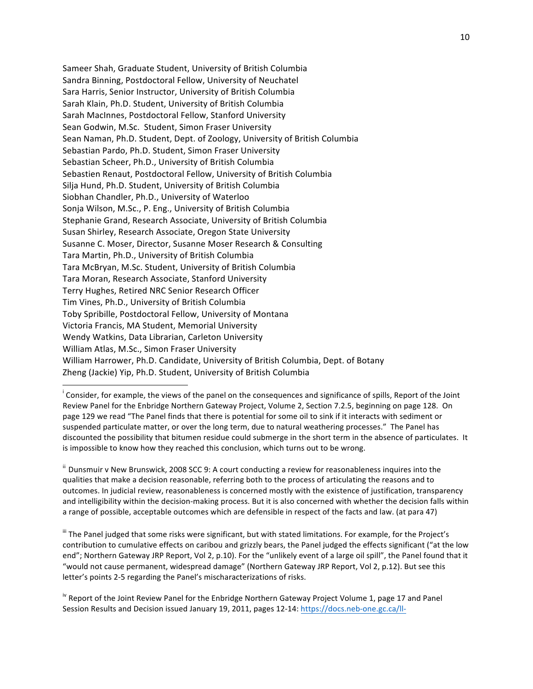Sameer Shah, Graduate Student, University of British Columbia Sandra Binning, Postdoctoral Fellow, University of Neuchatel Sara Harris, Senior Instructor, University of British Columbia Sarah Klain, Ph.D. Student, University of British Columbia Sarah MacInnes, Postdoctoral Fellow, Stanford University Sean Godwin, M.Sc. Student, Simon Fraser University Sean Naman, Ph.D. Student, Dept. of Zoology, University of British Columbia Sebastian Pardo, Ph.D. Student, Simon Fraser University Sebastian Scheer, Ph.D., University of British Columbia Sebastien Renaut, Postdoctoral Fellow, University of British Columbia Silja Hund, Ph.D. Student, University of British Columbia Siobhan Chandler, Ph.D., University of Waterloo Sonja Wilson, M.Sc., P. Eng., University of British Columbia Stephanie Grand, Research Associate, University of British Columbia Susan Shirley, Research Associate, Oregon State University Susanne C. Moser, Director, Susanne Moser Research & Consulting Tara Martin, Ph.D., University of British Columbia Tara McBryan, M.Sc. Student, University of British Columbia Tara Moran, Research Associate, Stanford University Terry Hughes, Retired NRC Senior Research Officer Tim Vines, Ph.D., University of British Columbia Toby Spribille, Postdoctoral Fellow, University of Montana Victoria Francis, MA Student, Memorial University Wendy Watkins, Data Librarian, Carleton University William Atlas, M.Sc., Simon Fraser University William Harrower, Ph.D. Candidate, University of British Columbia, Dept. of Botany Zheng (Jackie) Yip, Ph.D. Student, University of British Columbia

!!!!!!!!!!!!!!!!!!!!!!!!!!!!!!!!!!!!!!!!!!!!!!!!!!!!!!!!!!!!

 $ii$  Dunsmuir v New Brunswick, 2008 SCC 9: A court conducting a review for reasonableness inquires into the qualities that make a decision reasonable, referring both to the process of articulating the reasons and to outcomes. In judicial review, reasonableness is concerned mostly with the existence of justification, transparency and intelligibility within the decision-making process. But it is also concerned with whether the decision falls within a range of possible, acceptable outcomes which are defensible in respect of the facts and law. (at para 47)

" The Panel judged that some risks were significant, but with stated limitations. For example, for the Project's contribution to cumulative effects on caribou and grizzly bears, the Panel judged the effects significant ("at the low end"; Northern Gateway JRP Report, Vol 2, p.10). For the "unlikely event of a large oil spill", the Panel found that it "would not cause permanent, widespread damage" (Northern Gateway JRP Report, Vol 2, p.12). But see this letter's points 2-5 regarding the Panel's mischaracterizations of risks.

<sup>iv</sup> Report of the Joint Review Panel for the Enbridge Northern Gateway Project Volume 1, page 17 and Panel Session Results and Decision issued January 19, 2011, pages 12-14: https://docs.neb-one.gc.ca/ll-

Consider, for example, the views of the panel on the consequences and significance of spills, Report of the Joint Review Panel for the Enbridge Northern Gateway Project, Volume 2, Section 7.2.5, beginning on page 128. On page 129 we read "The Panel finds that there is potential for some oil to sink if it interacts with sediment or suspended particulate matter, or over the long term, due to natural weathering processes." The Panel has discounted the possibility that bitumen residue could submerge in the short term in the absence of particulates. It is impossible to know how they reached this conclusion, which turns out to be wrong.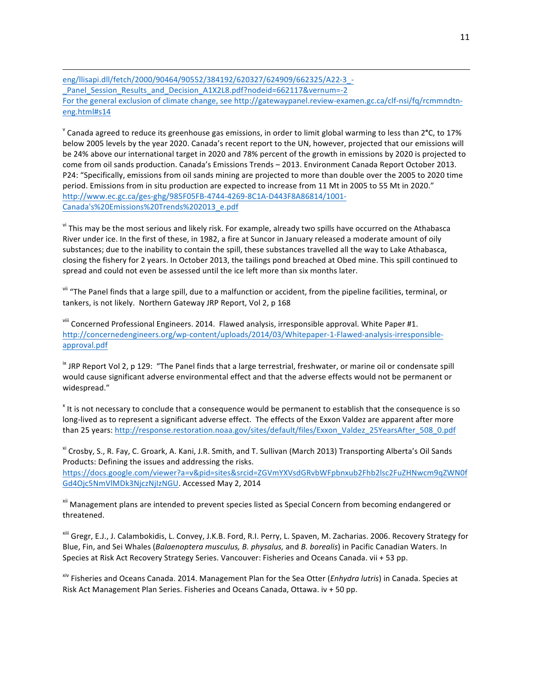!!!!!!!!!!!!!!!!!!!!!!!!!!!!!!!!!!!!!!!!!!!!!!!!!!!!!!!!!!!!!!!!!!!!!!!!!!!!!!!!!!!!!!!!!!!!!!!!!!!!!!!!!!!!!!!!!!!!!!!!!!!!!!!!!!!!!!!!!!!!!!!!!!!!!!!!!!!!!!!!!!!!!!!!!!!!!!!!!!!!!!!!!!!!!!!!!!! eng/Ilisapi.dll/fetch/2000/90464/90552/384192/620327/624909/662325/A22-3 -\_Panel\_Session\_Results\_and\_Decision\_A1X2L8.pdf?nodeid=662117&vernum=-2 For the general exclusion of climate change, see http://gatewaypanel.review-examen.gc.ca/clf-nsi/fq/rcmmndtneng.html#s14

<sup>v</sup> Canada agreed to reduce its greenhouse gas emissions, in order to limit global warming to less than 2<sup>°</sup>C, to 17% below 2005 levels by the year 2020. Canada's recent report to the UN, however, projected that our emissions will be 24% above our international target in 2020 and 78% percent of the growth in emissions by 2020 is projected to come from oil sands production. Canada's Emissions Trends – 2013. Environment Canada Report October 2013. P24: "Specifically, emissions from oil sands mining are projected to more than double over the 2005 to 2020 time period. Emissions from in situ production are expected to increase from 11 Mt in 2005 to 55 Mt in 2020." http://www.ec.gc.ca/ges-ghg/985F05FB-4744-4269-8C1A-D443F8A86814/1001-Canada's%20Emissions%20Trends%202013\_e.pdf

vi This may be the most serious and likely risk. For example, already two spills have occurred on the Athabasca River under ice. In the first of these, in 1982, a fire at Suncor in January released a moderate amount of oily substances; due to the inability to contain the spill, these substances travelled all the way to Lake Athabasca, closing the fishery for 2 years. In October 2013, the tailings pond breached at Obed mine. This spill continued to spread and could not even be assessed until the ice left more than six months later.

<sup>vii</sup> "The Panel finds that a large spill, due to a malfunction or accident, from the pipeline facilities, terminal, or tankers, is not likely. Northern Gateway JRP Report, Vol 2, p 168

viii Concerned Professional Engineers. 2014. Flawed analysis, irresponsible approval. White Paper #1. http://concernedengineers.org/wp-content/uploads/2014/03/Whitepaper-1-Flawed-analysis-irresponsibleapproval.pdf

 $\textdegree$  JRP Report Vol 2, p 129: "The Panel finds that a large terrestrial, freshwater, or marine oil or condensate spill would cause significant adverse environmental effect and that the adverse effects would not be permanent or widespread."

<sup>x</sup> It is not necessary to conclude that a consequence would be permanent to establish that the consequence is so long-lived as to represent a significant adverse effect. The effects of the Exxon Valdez are apparent after more than 25 years: http://response.restoration.noaa.gov/sites/default/files/Exxon\_Valdez\_25YearsAfter\_508\_0.pdf

<sup>xi</sup> Crosby, S., R. Fay, C. Groark, A. Kani, J.R. Smith, and T. Sullivan (March 2013) Transporting Alberta's Oil Sands Products: Defining the issues and addressing the risks.

https://docs.google.com/viewer?a=v&pid=sites&srcid=ZGVmYXVsdGRvbWFpbnxub2Fhb2lsc2FuZHNwcm9qZWN0f Gd4Ojc5NmVlMDk3NjczNjIzNGU. Accessed May 2, 2014

xii Management plans are intended to prevent species listed as Special Concern from becoming endangered or threatened.

xiii Gregr, E.J., J. Calambokidis, L. Convey, J.K.B. Ford, R.I. Perry, L. Spaven, M. Zacharias. 2006. Recovery Strategy for Blue, Fin, and Sei Whales (*Balaenoptera musculus, B. physalus, and B. borealis*) in Pacific Canadian Waters. In Species at Risk Act Recovery Strategy Series. Vancouver: Fisheries and Oceans Canada. vii + 53 pp.

<sup>xiv</sup> Fisheries and Oceans Canada. 2014. Management Plan for the Sea Otter (*Enhydra lutris*) in Canada. Species at Risk Act Management Plan Series. Fisheries and Oceans Canada, Ottawa. iv + 50 pp.